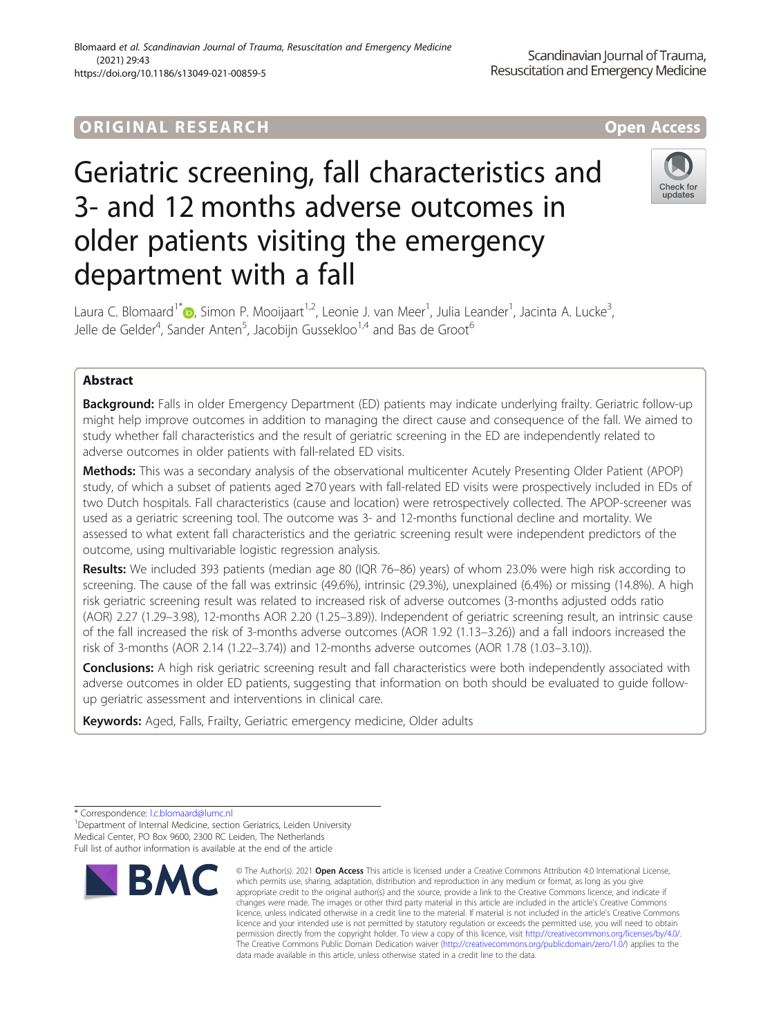# **ORIGINAL RESEARCH And Access** open Access

# Geriatric screening, fall characteristics and 3- and 12 months adverse outcomes in older patients visiting the emergency department with a fall



Laura C. Blomaard<sup>1[\\*](http://orcid.org/0000-0002-2119-9464)</sup>®, Simon P. Mooijaart<sup>1,2</sup>, Leonie J. van Meer<sup>1</sup>, Julia Leander<sup>1</sup>, Jacinta A. Lucke<sup>3</sup> , Jelle de Gelder<sup>4</sup>, Sander Anten<sup>5</sup>, Jacobijn Gussekloo<sup>1,4</sup> and Bas de Groot<sup>6</sup>

# Abstract

Background: Falls in older Emergency Department (ED) patients may indicate underlying frailty. Geriatric follow-up might help improve outcomes in addition to managing the direct cause and consequence of the fall. We aimed to study whether fall characteristics and the result of geriatric screening in the ED are independently related to adverse outcomes in older patients with fall-related ED visits.

Methods: This was a secondary analysis of the observational multicenter Acutely Presenting Older Patient (APOP) study, of which a subset of patients aged ≥70 years with fall-related ED visits were prospectively included in EDs of two Dutch hospitals. Fall characteristics (cause and location) were retrospectively collected. The APOP-screener was used as a geriatric screening tool. The outcome was 3- and 12-months functional decline and mortality. We assessed to what extent fall characteristics and the geriatric screening result were independent predictors of the outcome, using multivariable logistic regression analysis.

Results: We included 393 patients (median age 80 (IQR 76–86) years) of whom 23.0% were high risk according to screening. The cause of the fall was extrinsic (49.6%), intrinsic (29.3%), unexplained (6.4%) or missing (14.8%). A high risk geriatric screening result was related to increased risk of adverse outcomes (3-months adjusted odds ratio (AOR) 2.27 (1.29–3.98), 12-months AOR 2.20 (1.25–3.89)). Independent of geriatric screening result, an intrinsic cause of the fall increased the risk of 3-months adverse outcomes (AOR 1.92 (1.13–3.26)) and a fall indoors increased the risk of 3-months (AOR 2.14 (1.22–3.74)) and 12-months adverse outcomes (AOR 1.78 (1.03–3.10)).

Conclusions: A high risk geriatric screening result and fall characteristics were both independently associated with adverse outcomes in older ED patients, suggesting that information on both should be evaluated to quide followup geriatric assessment and interventions in clinical care.

Keywords: Aged, Falls, Frailty, Geriatric emergency medicine, Older adults

<sup>1</sup> Department of Internal Medicine, section Geriatrics, Leiden University Medical Center, PO Box 9600, 2300 RC Leiden, The Netherlands Full list of author information is available at the end of the article



<sup>©</sup> The Author(s), 2021 **Open Access** This article is licensed under a Creative Commons Attribution 4.0 International License, which permits use, sharing, adaptation, distribution and reproduction in any medium or format, as long as you give appropriate credit to the original author(s) and the source, provide a link to the Creative Commons licence, and indicate if changes were made. The images or other third party material in this article are included in the article's Creative Commons licence, unless indicated otherwise in a credit line to the material. If material is not included in the article's Creative Commons licence and your intended use is not permitted by statutory regulation or exceeds the permitted use, you will need to obtain permission directly from the copyright holder. To view a copy of this licence, visit [http://creativecommons.org/licenses/by/4.0/.](http://creativecommons.org/licenses/by/4.0/) The Creative Commons Public Domain Dedication waiver [\(http://creativecommons.org/publicdomain/zero/1.0/](http://creativecommons.org/publicdomain/zero/1.0/)) applies to the data made available in this article, unless otherwise stated in a credit line to the data.

<sup>\*</sup> Correspondence: [l.c.blomaard@lumc.nl](mailto:l.c.blomaard@lumc.nl) <sup>1</sup>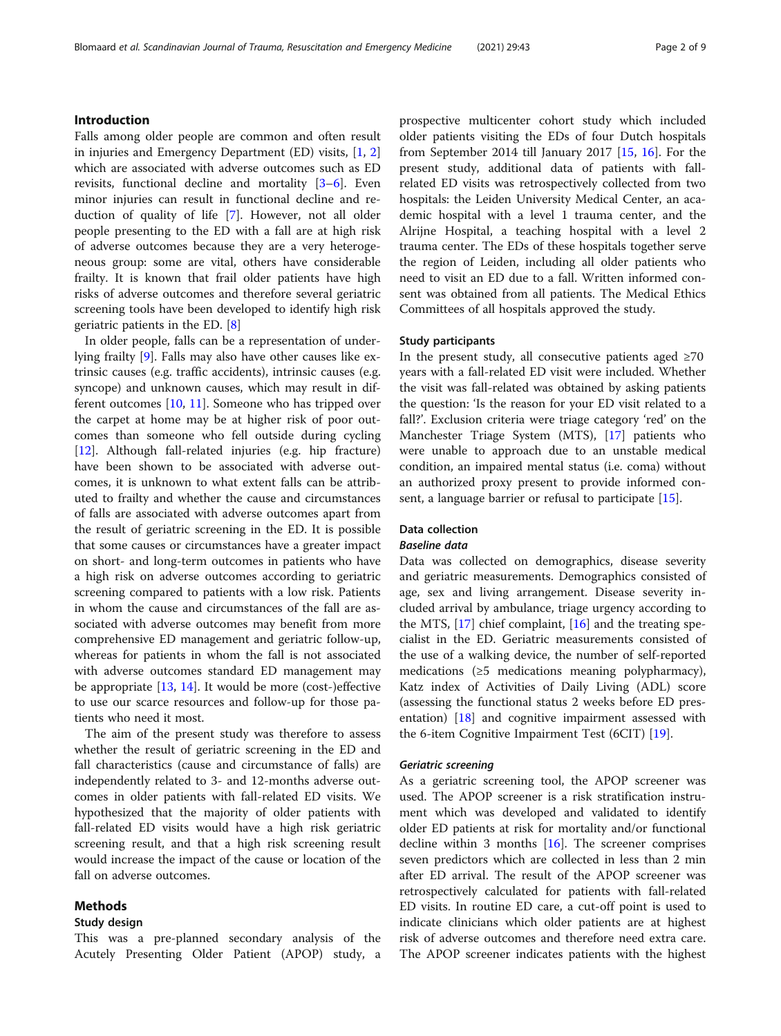# Introduction

Falls among older people are common and often result in injuries and Emergency Department (ED) visits, [\[1](#page-7-0), [2](#page-7-0)] which are associated with adverse outcomes such as ED revisits, functional decline and mortality [\[3](#page-7-0)–[6](#page-7-0)]. Even minor injuries can result in functional decline and reduction of quality of life [\[7\]](#page-7-0). However, not all older people presenting to the ED with a fall are at high risk of adverse outcomes because they are a very heterogeneous group: some are vital, others have considerable frailty. It is known that frail older patients have high risks of adverse outcomes and therefore several geriatric screening tools have been developed to identify high risk geriatric patients in the ED. [[8\]](#page-7-0)

In older people, falls can be a representation of underlying frailty [[9\]](#page-7-0). Falls may also have other causes like extrinsic causes (e.g. traffic accidents), intrinsic causes (e.g. syncope) and unknown causes, which may result in different outcomes [\[10](#page-7-0), [11](#page-7-0)]. Someone who has tripped over the carpet at home may be at higher risk of poor outcomes than someone who fell outside during cycling [[12\]](#page-7-0). Although fall-related injuries (e.g. hip fracture) have been shown to be associated with adverse outcomes, it is unknown to what extent falls can be attributed to frailty and whether the cause and circumstances of falls are associated with adverse outcomes apart from the result of geriatric screening in the ED. It is possible that some causes or circumstances have a greater impact on short- and long-term outcomes in patients who have a high risk on adverse outcomes according to geriatric screening compared to patients with a low risk. Patients in whom the cause and circumstances of the fall are associated with adverse outcomes may benefit from more comprehensive ED management and geriatric follow-up, whereas for patients in whom the fall is not associated with adverse outcomes standard ED management may be appropriate [[13](#page-7-0), [14](#page-7-0)]. It would be more (cost-)effective to use our scarce resources and follow-up for those patients who need it most.

The aim of the present study was therefore to assess whether the result of geriatric screening in the ED and fall characteristics (cause and circumstance of falls) are independently related to 3- and 12-months adverse outcomes in older patients with fall-related ED visits. We hypothesized that the majority of older patients with fall-related ED visits would have a high risk geriatric screening result, and that a high risk screening result would increase the impact of the cause or location of the fall on adverse outcomes.

# Methods

# Study design

This was a pre-planned secondary analysis of the Acutely Presenting Older Patient (APOP) study, a prospective multicenter cohort study which included older patients visiting the EDs of four Dutch hospitals from September 2014 till January 2017 [[15,](#page-7-0) [16](#page-7-0)]. For the present study, additional data of patients with fallrelated ED visits was retrospectively collected from two hospitals: the Leiden University Medical Center, an academic hospital with a level 1 trauma center, and the Alrijne Hospital, a teaching hospital with a level 2 trauma center. The EDs of these hospitals together serve the region of Leiden, including all older patients who need to visit an ED due to a fall. Written informed consent was obtained from all patients. The Medical Ethics Committees of all hospitals approved the study.

# Study participants

In the present study, all consecutive patients aged  $≥70$ years with a fall-related ED visit were included. Whether the visit was fall-related was obtained by asking patients the question: 'Is the reason for your ED visit related to a fall?'. Exclusion criteria were triage category 'red' on the Manchester Triage System (MTS), [\[17](#page-7-0)] patients who were unable to approach due to an unstable medical condition, an impaired mental status (i.e. coma) without an authorized proxy present to provide informed consent, a language barrier or refusal to participate [\[15](#page-7-0)].

# Data collection

# Baseline data

Data was collected on demographics, disease severity and geriatric measurements. Demographics consisted of age, sex and living arrangement. Disease severity included arrival by ambulance, triage urgency according to the MTS,  $[17]$  $[17]$  $[17]$  chief complaint,  $[16]$  $[16]$  and the treating specialist in the ED. Geriatric measurements consisted of the use of a walking device, the number of self-reported medications (≥5 medications meaning polypharmacy), Katz index of Activities of Daily Living (ADL) score (assessing the functional status 2 weeks before ED presentation) [[18](#page-8-0)] and cognitive impairment assessed with the 6-item Cognitive Impairment Test (6CIT) [\[19](#page-8-0)].

# Geriatric screening

As a geriatric screening tool, the APOP screener was used. The APOP screener is a risk stratification instrument which was developed and validated to identify older ED patients at risk for mortality and/or functional decline within 3 months  $[16]$  $[16]$  $[16]$ . The screener comprises seven predictors which are collected in less than 2 min after ED arrival. The result of the APOP screener was retrospectively calculated for patients with fall-related ED visits. In routine ED care, a cut-off point is used to indicate clinicians which older patients are at highest risk of adverse outcomes and therefore need extra care. The APOP screener indicates patients with the highest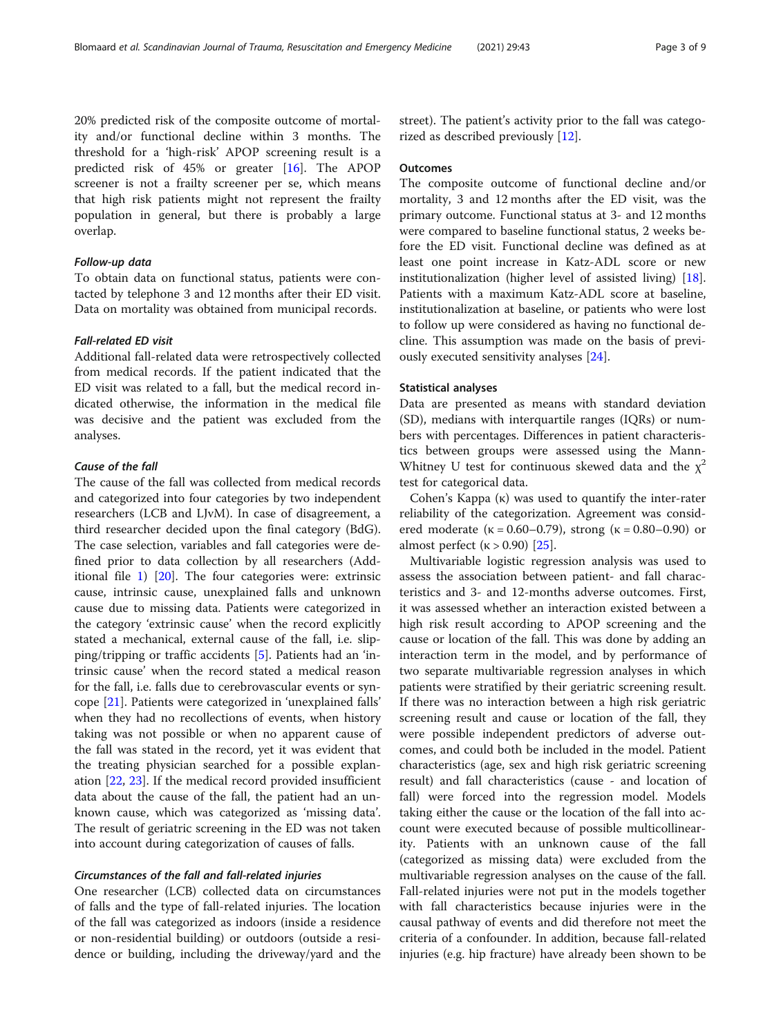20% predicted risk of the composite outcome of mortality and/or functional decline within 3 months. The threshold for a 'high-risk' APOP screening result is a predicted risk of 45% or greater [[16\]](#page-7-0). The APOP screener is not a frailty screener per se, which means that high risk patients might not represent the frailty population in general, but there is probably a large overlap.

# Follow-up data

To obtain data on functional status, patients were contacted by telephone 3 and 12 months after their ED visit. Data on mortality was obtained from municipal records.

# Fall-related ED visit

Additional fall-related data were retrospectively collected from medical records. If the patient indicated that the ED visit was related to a fall, but the medical record indicated otherwise, the information in the medical file was decisive and the patient was excluded from the analyses.

# Cause of the fall

The cause of the fall was collected from medical records and categorized into four categories by two independent researchers (LCB and LJvM). In case of disagreement, a third researcher decided upon the final category (BdG). The case selection, variables and fall categories were defined prior to data collection by all researchers (Additional file [1\)](#page-7-0) [[20\]](#page-8-0). The four categories were: extrinsic cause, intrinsic cause, unexplained falls and unknown cause due to missing data. Patients were categorized in the category 'extrinsic cause' when the record explicitly stated a mechanical, external cause of the fall, i.e. slipping/tripping or traffic accidents [[5\]](#page-7-0). Patients had an 'intrinsic cause' when the record stated a medical reason for the fall, i.e. falls due to cerebrovascular events or syncope [[21\]](#page-8-0). Patients were categorized in 'unexplained falls' when they had no recollections of events, when history taking was not possible or when no apparent cause of the fall was stated in the record, yet it was evident that the treating physician searched for a possible explanation [[22](#page-8-0), [23](#page-8-0)]. If the medical record provided insufficient data about the cause of the fall, the patient had an unknown cause, which was categorized as 'missing data'. The result of geriatric screening in the ED was not taken into account during categorization of causes of falls.

# Circumstances of the fall and fall-related injuries

One researcher (LCB) collected data on circumstances of falls and the type of fall-related injuries. The location of the fall was categorized as indoors (inside a residence or non-residential building) or outdoors (outside a residence or building, including the driveway/yard and the street). The patient's activity prior to the fall was categorized as described previously [\[12](#page-7-0)].

## **Outcomes**

The composite outcome of functional decline and/or mortality, 3 and 12 months after the ED visit, was the primary outcome. Functional status at 3- and 12 months were compared to baseline functional status, 2 weeks before the ED visit. Functional decline was defined as at least one point increase in Katz-ADL score or new institutionalization (higher level of assisted living) [\[18](#page-8-0)]. Patients with a maximum Katz-ADL score at baseline, institutionalization at baseline, or patients who were lost to follow up were considered as having no functional decline. This assumption was made on the basis of previously executed sensitivity analyses [\[24](#page-8-0)].

## Statistical analyses

Data are presented as means with standard deviation (SD), medians with interquartile ranges (IQRs) or numbers with percentages. Differences in patient characteristics between groups were assessed using the Mann-Whitney U test for continuous skewed data and the  $\chi^2$ test for categorical data.

Cohen's Kappa (κ) was used to quantify the inter-rater reliability of the categorization. Agreement was considered moderate ( $\kappa = 0.60 - 0.79$ ), strong ( $\kappa = 0.80 - 0.90$ ) or almost perfect  $(k > 0.90)$  [\[25](#page-8-0)].

Multivariable logistic regression analysis was used to assess the association between patient- and fall characteristics and 3- and 12-months adverse outcomes. First, it was assessed whether an interaction existed between a high risk result according to APOP screening and the cause or location of the fall. This was done by adding an interaction term in the model, and by performance of two separate multivariable regression analyses in which patients were stratified by their geriatric screening result. If there was no interaction between a high risk geriatric screening result and cause or location of the fall, they were possible independent predictors of adverse outcomes, and could both be included in the model. Patient characteristics (age, sex and high risk geriatric screening result) and fall characteristics (cause - and location of fall) were forced into the regression model. Models taking either the cause or the location of the fall into account were executed because of possible multicollinearity. Patients with an unknown cause of the fall (categorized as missing data) were excluded from the multivariable regression analyses on the cause of the fall. Fall-related injuries were not put in the models together with fall characteristics because injuries were in the causal pathway of events and did therefore not meet the criteria of a confounder. In addition, because fall-related injuries (e.g. hip fracture) have already been shown to be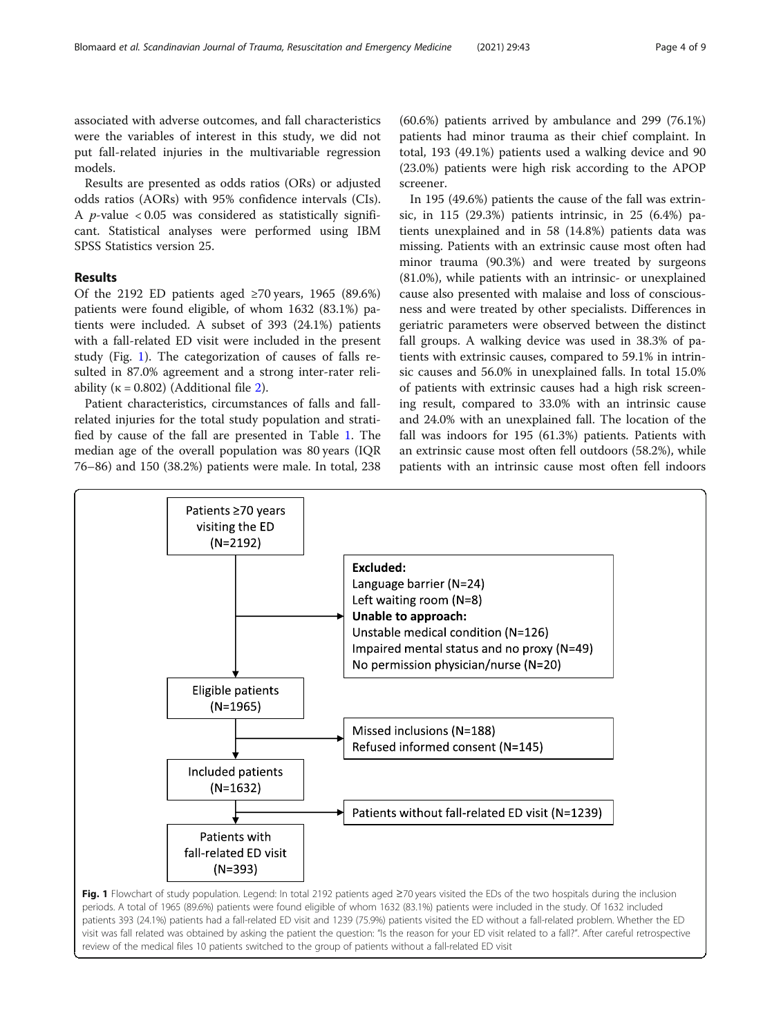associated with adverse outcomes, and fall characteristics were the variables of interest in this study, we did not put fall-related injuries in the multivariable regression models.

Results are presented as odds ratios (ORs) or adjusted odds ratios (AORs) with 95% confidence intervals (CIs). A *p*-value  $< 0.05$  was considered as statistically significant. Statistical analyses were performed using IBM SPSS Statistics version 25.

# Results

Of the 2192 ED patients aged ≥70 years, 1965 (89.6%) patients were found eligible, of whom 1632 (83.1%) patients were included. A subset of 393 (24.1%) patients with a fall-related ED visit were included in the present study (Fig. 1). The categorization of causes of falls resulted in 87.0% agreement and a strong inter-rater reliability ( $\kappa = 0.802$  $\kappa = 0.802$ ) (Additional file 2).

Patient characteristics, circumstances of falls and fallrelated injuries for the total study population and stratified by cause of the fall are presented in Table [1.](#page-4-0) The median age of the overall population was 80 years (IQR 76–86) and 150 (38.2%) patients were male. In total, 238

(60.6%) patients arrived by ambulance and 299 (76.1%) patients had minor trauma as their chief complaint. In total, 193 (49.1%) patients used a walking device and 90 (23.0%) patients were high risk according to the APOP screener.

In 195 (49.6%) patients the cause of the fall was extrinsic, in 115 (29.3%) patients intrinsic, in 25 (6.4%) patients unexplained and in 58 (14.8%) patients data was missing. Patients with an extrinsic cause most often had minor trauma (90.3%) and were treated by surgeons (81.0%), while patients with an intrinsic- or unexplained cause also presented with malaise and loss of consciousness and were treated by other specialists. Differences in geriatric parameters were observed between the distinct fall groups. A walking device was used in 38.3% of patients with extrinsic causes, compared to 59.1% in intrinsic causes and 56.0% in unexplained falls. In total 15.0% of patients with extrinsic causes had a high risk screening result, compared to 33.0% with an intrinsic cause and 24.0% with an unexplained fall. The location of the fall was indoors for 195 (61.3%) patients. Patients with an extrinsic cause most often fell outdoors (58.2%), while patients with an intrinsic cause most often fell indoors

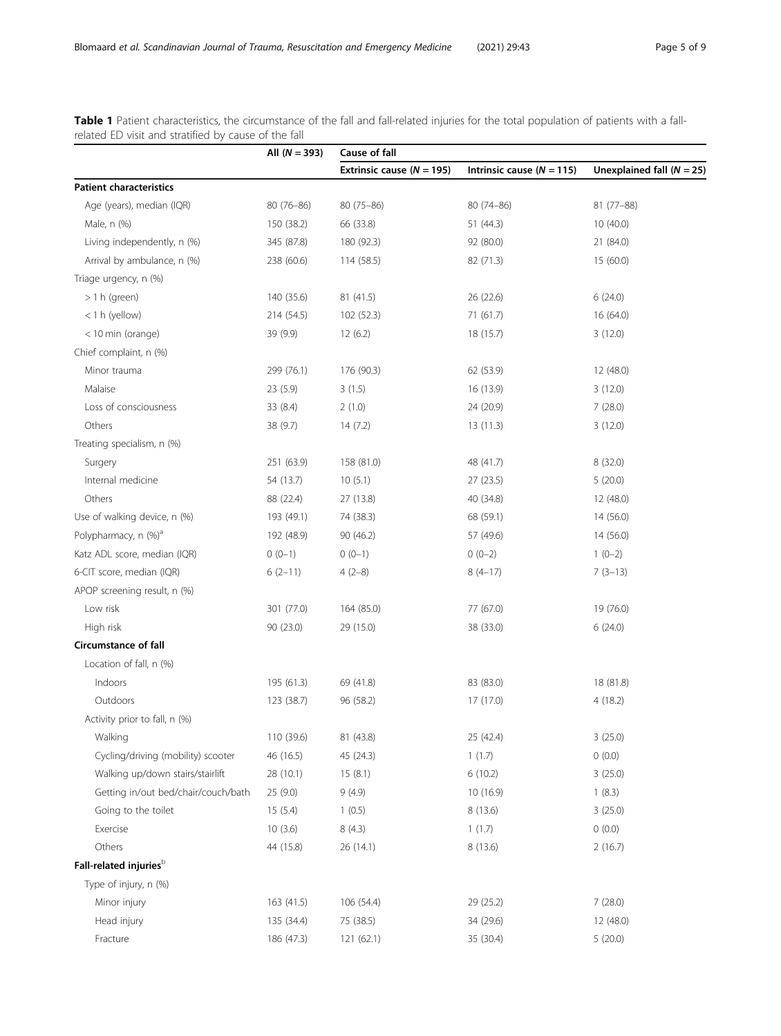|                                     | All $(N = 393)$ | Cause of fall                 |                               |                             |  |
|-------------------------------------|-----------------|-------------------------------|-------------------------------|-----------------------------|--|
|                                     |                 | Extrinsic cause ( $N = 195$ ) | Intrinsic cause ( $N = 115$ ) | Unexplained fall $(N = 25)$ |  |
| <b>Patient characteristics</b>      |                 |                               |                               |                             |  |
| Age (years), median (IQR)           | $80(76 - 86)$   | $80(75 - 86)$                 | $80(74 - 86)$                 | $81(77 - 88)$               |  |
| Male, n (%)                         | 150 (38.2)      | 66 (33.8)                     | 51(44.3)                      | 10(40.0)                    |  |
| Living independently, n (%)         | 345 (87.8)      | 180 (92.3)                    | 92 (80.0)                     | 21 (84.0)                   |  |
| Arrival by ambulance, n (%)         | 238 (60.6)      | 114(58.5)                     | 82 (71.3)                     | 15(60.0)                    |  |
| Triage urgency, n (%)               |                 |                               |                               |                             |  |
| $> 1 h$ (green)                     | 140 (35.6)      | 81(41.5)                      | 26 (22.6)                     | 6(24.0)                     |  |
| <1 h (yellow)                       | 214 (54.5)      | 102(52.3)                     | 71 (61.7)                     | 16(64.0)                    |  |
| < 10 min (orange)                   | 39 (9.9)        | 12(6.2)                       | 18 (15.7)                     | 3(12.0)                     |  |
| Chief complaint, n (%)              |                 |                               |                               |                             |  |
| Minor trauma                        | 299 (76.1)      | 176 (90.3)                    | 62 (53.9)                     | 12(48.0)                    |  |
| Malaise                             | 23 (5.9)        | 3(1.5)                        | 16 (13.9)                     | 3(12.0)                     |  |
| Loss of consciousness               | 33 (8.4)        | 2(1.0)                        | 24 (20.9)                     | 7(28.0)                     |  |
| Others                              | 38 (9.7)        | 14(7.2)                       | 13(11.3)                      | 3(12.0)                     |  |
| Treating specialism, n (%)          |                 |                               |                               |                             |  |
| Surgery                             | 251 (63.9)      | 158 (81.0)                    | 48 (41.7)                     | 8 (32.0)                    |  |
| Internal medicine                   | 54 (13.7)       | 10(5.1)                       | 27(23.5)                      | 5(20.0)                     |  |
| Others                              | 88 (22.4)       | 27 (13.8)                     | 40 (34.8)                     | 12(48.0)                    |  |
| Use of walking device, n (%)        | 193 (49.1)      | 74 (38.3)                     | 68 (59.1)                     | 14 (56.0)                   |  |
| Polypharmacy, n (%) <sup>a</sup>    | 192 (48.9)      | 90 (46.2)                     | 57 (49.6)                     | 14(56.0)                    |  |
| Katz ADL score, median (IQR)        | $0(0-1)$        | $0(0-1)$                      | $0(0-2)$                      | $1(0-2)$                    |  |
| 6-CIT score, median (IQR)           | $6(2-11)$       | $4(2-8)$                      | $8(4-17)$                     | $7(3-13)$                   |  |
| APOP screening result, n (%)        |                 |                               |                               |                             |  |
| Low risk                            | 301 (77.0)      | 164 (85.0)                    | 77 (67.0)                     | 19 (76.0)                   |  |
| High risk                           | 90 (23.0)       | 29 (15.0)                     | 38 (33.0)                     | 6(24.0)                     |  |
| <b>Circumstance of fall</b>         |                 |                               |                               |                             |  |
| Location of fall, n (%)             |                 |                               |                               |                             |  |
| Indoors                             | 195 (61.3)      | 69 (41.8)                     | 83 (83.0)                     | 18 (81.8)                   |  |
| Outdoors                            | 123 (38.7)      | 96 (58.2)                     | 17 (17.0)                     | 4(18.2)                     |  |
| Activity prior to fall, n (%)       |                 |                               |                               |                             |  |
| Walking                             | 110 (39.6)      | 81 (43.8)                     | 25 (42.4)                     | 3(25.0)                     |  |
| Cycling/driving (mobility) scooter  | 46 (16.5)       | 45 (24.3)                     | 1(1.7)                        | 0(0.0)                      |  |
| Walking up/down stairs/stairlift    | 28 (10.1)       | 15(8.1)                       | 6(10.2)                       | 3(25.0)                     |  |
| Getting in/out bed/chair/couch/bath | 25 (9.0)        | 9(4.9)                        | 10 (16.9)                     | 1(8.3)                      |  |
| Going to the toilet                 | 15(5.4)         | 1(0.5)                        | 8 (13.6)                      | 3(25.0)                     |  |
| Exercise                            | 10(3.6)         | 8(4.3)                        | 1(1.7)                        | 0(0.0)                      |  |
| Others                              | 44 (15.8)       | 26 (14.1)                     | 8 (13.6)                      | 2(16.7)                     |  |
| Fall-related injuries <sup>b</sup>  |                 |                               |                               |                             |  |
| Type of injury, n (%)               |                 |                               |                               |                             |  |
| Minor injury                        | 163 (41.5)      | 106 (54.4)                    | 29 (25.2)                     | 7(28.0)                     |  |
| Head injury                         | 135 (34.4)      | 75 (38.5)                     | 34 (29.6)                     | 12 (48.0)                   |  |
| Fracture                            | 186 (47.3)      | 121 (62.1)                    | 35 (30.4)                     | 5(20.0)                     |  |

<span id="page-4-0"></span>Table 1 Patient characteristics, the circumstance of the fall and fall-related injuries for the total population of patients with a fallrelated ED visit and stratified by cause of the fall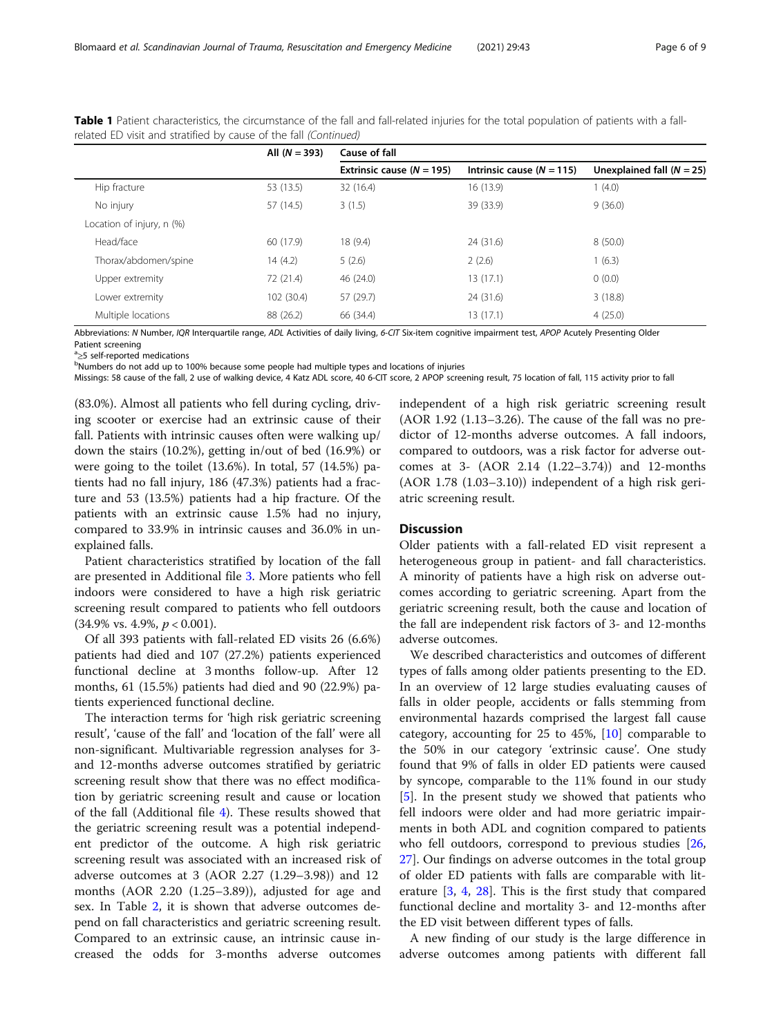|                           | All $(N = 393)$ | Cause of fall                 |                             |                             |  |
|---------------------------|-----------------|-------------------------------|-----------------------------|-----------------------------|--|
|                           |                 | Extrinsic cause ( $N = 195$ ) | Intrinsic cause $(N = 115)$ | Unexplained fall $(N = 25)$ |  |
| Hip fracture              | 53 (13.5)       | 32 (16.4)                     | 16 (13.9)                   | 1(4.0)                      |  |
| No injury                 | 57 (14.5)       | 3(1.5)                        | 39 (33.9)                   | 9(36.0)                     |  |
| Location of injury, n (%) |                 |                               |                             |                             |  |
| Head/face                 | 60 (17.9)       | 18 (9.4)                      | 24 (31.6)                   | 8(50.0)                     |  |
| Thorax/abdomen/spine      | 14(4.2)         | 5(2.6)                        | 2(2.6)                      | 1(6.3)                      |  |
| Upper extremity           | 72 (21.4)       | 46 (24.0)                     | 13 (17.1)                   | 0(0.0)                      |  |
| Lower extremity           | 102 (30.4)      | 57 (29.7)                     | 24 (31.6)                   | 3(18.8)                     |  |
| Multiple locations        | 88 (26.2)       | 66 (34.4)                     | 13 (17.1)                   | 4(25.0)                     |  |

Table 1 Patient characteristics, the circumstance of the fall and fall-related injuries for the total population of patients with a fallrelated ED visit and stratified by cause of the fall (Continued)

Abbreviations: N Number, IQR Interquartile range, ADL Activities of daily living, 6-CIT Six-item cognitive impairment test, APOP Acutely Presenting Older Patient screening

 $a_{\geq 5}$  self-reported medications<br>bNumbers do not add up to 1

<sup>b</sup>Numbers do not add up to 100% because some people had multiple types and locations of injuries

Missings: 58 cause of the fall, 2 use of walking device, 4 Katz ADL score, 40 6-CIT score, 2 APOP screening result, 75 location of fall, 115 activity prior to fall

(83.0%). Almost all patients who fell during cycling, driving scooter or exercise had an extrinsic cause of their fall. Patients with intrinsic causes often were walking up/ down the stairs (10.2%), getting in/out of bed (16.9%) or were going to the toilet (13.6%). In total, 57 (14.5%) patients had no fall injury, 186 (47.3%) patients had a fracture and 53 (13.5%) patients had a hip fracture. Of the patients with an extrinsic cause 1.5% had no injury, compared to 33.9% in intrinsic causes and 36.0% in unexplained falls.

Patient characteristics stratified by location of the fall are presented in Additional file [3](#page-7-0). More patients who fell indoors were considered to have a high risk geriatric screening result compared to patients who fell outdoors (34.9% vs. 4.9%, p < 0.001).

Of all 393 patients with fall-related ED visits 26 (6.6%) patients had died and 107 (27.2%) patients experienced functional decline at 3 months follow-up. After 12 months, 61 (15.5%) patients had died and 90 (22.9%) patients experienced functional decline.

The interaction terms for 'high risk geriatric screening result', 'cause of the fall' and 'location of the fall' were all non-significant. Multivariable regression analyses for 3 and 12-months adverse outcomes stratified by geriatric screening result show that there was no effect modification by geriatric screening result and cause or location of the fall (Additional file [4](#page-7-0)). These results showed that the geriatric screening result was a potential independent predictor of the outcome. A high risk geriatric screening result was associated with an increased risk of adverse outcomes at 3 (AOR 2.27 (1.29–3.98)) and 12 months (AOR 2.20 (1.25–3.89)), adjusted for age and sex. In Table [2](#page-6-0), it is shown that adverse outcomes depend on fall characteristics and geriatric screening result. Compared to an extrinsic cause, an intrinsic cause increased the odds for 3-months adverse outcomes

independent of a high risk geriatric screening result (AOR 1.92 (1.13–3.26). The cause of the fall was no predictor of 12-months adverse outcomes. A fall indoors, compared to outdoors, was a risk factor for adverse outcomes at 3- (AOR 2.14 (1.22–3.74)) and 12-months (AOR 1.78 (1.03–3.10)) independent of a high risk geriatric screening result.

# **Discussion**

Older patients with a fall-related ED visit represent a heterogeneous group in patient- and fall characteristics. A minority of patients have a high risk on adverse outcomes according to geriatric screening. Apart from the geriatric screening result, both the cause and location of the fall are independent risk factors of 3- and 12-months adverse outcomes.

We described characteristics and outcomes of different types of falls among older patients presenting to the ED. In an overview of 12 large studies evaluating causes of falls in older people, accidents or falls stemming from environmental hazards comprised the largest fall cause category, accounting for 25 to 45%, [[10\]](#page-7-0) comparable to the 50% in our category 'extrinsic cause'. One study found that 9% of falls in older ED patients were caused by syncope, comparable to the 11% found in our study [[5\]](#page-7-0). In the present study we showed that patients who fell indoors were older and had more geriatric impairments in both ADL and cognition compared to patients who fell outdoors, correspond to previous studies  $[26,$  $[26,$  $[26,$ [27\]](#page-8-0). Our findings on adverse outcomes in the total group of older ED patients with falls are comparable with literature [[3,](#page-7-0) [4,](#page-7-0) [28\]](#page-8-0). This is the first study that compared functional decline and mortality 3- and 12-months after the ED visit between different types of falls.

A new finding of our study is the large difference in adverse outcomes among patients with different fall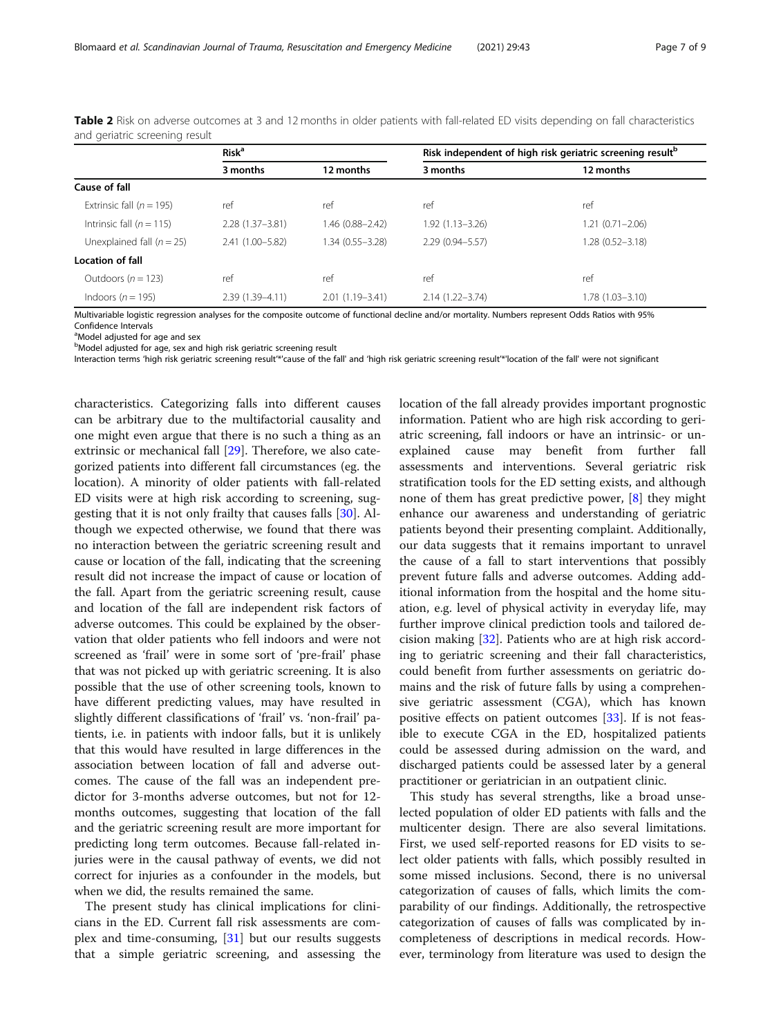|                              | <b>Risk<sup>a</sup></b> |                     | Risk independent of high risk geriatric screening result <sup>b</sup> |                     |  |
|------------------------------|-------------------------|---------------------|-----------------------------------------------------------------------|---------------------|--|
|                              | 3 months                | 12 months           | 3 months                                                              | 12 months           |  |
| Cause of fall                |                         |                     |                                                                       |                     |  |
| Extrinsic fall ( $n = 195$ ) | ref                     | ref                 | ref                                                                   | ref                 |  |
| Intrinsic fall ( $n = 115$ ) | $2.28(1.37 - 3.81)$     | 1.46 (0.88-2.42)    | $1.92(1.13 - 3.26)$                                                   | $1.21(0.71 - 2.06)$ |  |
| Unexplained fall $(n = 25)$  | 2.41 (1.00-5.82)        | 1.34 (0.55-3.28)    | $2.29(0.94 - 5.57)$                                                   | $1.28(0.52 - 3.18)$ |  |
| <b>Location of fall</b>      |                         |                     |                                                                       |                     |  |
| Outdoors ( $n = 123$ )       | ref                     | ref                 | ref                                                                   | ref                 |  |
| Indoors ( $n = 195$ )        | $2.39(1.39 - 4.11)$     | $2.01(1.19 - 3.41)$ | $2.14(1.22 - 3.74)$                                                   | $1.78(1.03 - 3.10)$ |  |

<span id="page-6-0"></span>Table 2 Risk on adverse outcomes at 3 and 12 months in older patients with fall-related ED visits depending on fall characteristics and geriatric screening result

Multivariable logistic regression analyses for the composite outcome of functional decline and/or mortality. Numbers represent Odds Ratios with 95% Confidence Intervals

<sup>a</sup>Model adjusted for age and sex

<sup>b</sup>Model adjusted for age, sex and high risk geriatric screening result

Interaction terms 'high risk geriatric screening result'\*'cause of the fall' and 'high risk geriatric screening result'\*'location of the fall' were not significant

characteristics. Categorizing falls into different causes can be arbitrary due to the multifactorial causality and one might even argue that there is no such a thing as an extrinsic or mechanical fall [[29\]](#page-8-0). Therefore, we also categorized patients into different fall circumstances (eg. the location). A minority of older patients with fall-related ED visits were at high risk according to screening, suggesting that it is not only frailty that causes falls [\[30](#page-8-0)]. Although we expected otherwise, we found that there was no interaction between the geriatric screening result and cause or location of the fall, indicating that the screening result did not increase the impact of cause or location of the fall. Apart from the geriatric screening result, cause and location of the fall are independent risk factors of adverse outcomes. This could be explained by the observation that older patients who fell indoors and were not screened as 'frail' were in some sort of 'pre-frail' phase that was not picked up with geriatric screening. It is also possible that the use of other screening tools, known to have different predicting values, may have resulted in slightly different classifications of 'frail' vs. 'non-frail' patients, i.e. in patients with indoor falls, but it is unlikely that this would have resulted in large differences in the association between location of fall and adverse outcomes. The cause of the fall was an independent predictor for 3-months adverse outcomes, but not for 12 months outcomes, suggesting that location of the fall and the geriatric screening result are more important for predicting long term outcomes. Because fall-related injuries were in the causal pathway of events, we did not correct for injuries as a confounder in the models, but when we did, the results remained the same.

The present study has clinical implications for clinicians in the ED. Current fall risk assessments are complex and time-consuming, [\[31\]](#page-8-0) but our results suggests that a simple geriatric screening, and assessing the location of the fall already provides important prognostic information. Patient who are high risk according to geriatric screening, fall indoors or have an intrinsic- or unexplained cause may benefit from further fall assessments and interventions. Several geriatric risk stratification tools for the ED setting exists, and although none of them has great predictive power, [\[8](#page-7-0)] they might enhance our awareness and understanding of geriatric patients beyond their presenting complaint. Additionally, our data suggests that it remains important to unravel the cause of a fall to start interventions that possibly prevent future falls and adverse outcomes. Adding additional information from the hospital and the home situation, e.g. level of physical activity in everyday life, may further improve clinical prediction tools and tailored decision making [\[32\]](#page-8-0). Patients who are at high risk according to geriatric screening and their fall characteristics, could benefit from further assessments on geriatric domains and the risk of future falls by using a comprehensive geriatric assessment (CGA), which has known positive effects on patient outcomes [[33\]](#page-8-0). If is not feasible to execute CGA in the ED, hospitalized patients could be assessed during admission on the ward, and discharged patients could be assessed later by a general practitioner or geriatrician in an outpatient clinic.

This study has several strengths, like a broad unselected population of older ED patients with falls and the multicenter design. There are also several limitations. First, we used self-reported reasons for ED visits to select older patients with falls, which possibly resulted in some missed inclusions. Second, there is no universal categorization of causes of falls, which limits the comparability of our findings. Additionally, the retrospective categorization of causes of falls was complicated by incompleteness of descriptions in medical records. However, terminology from literature was used to design the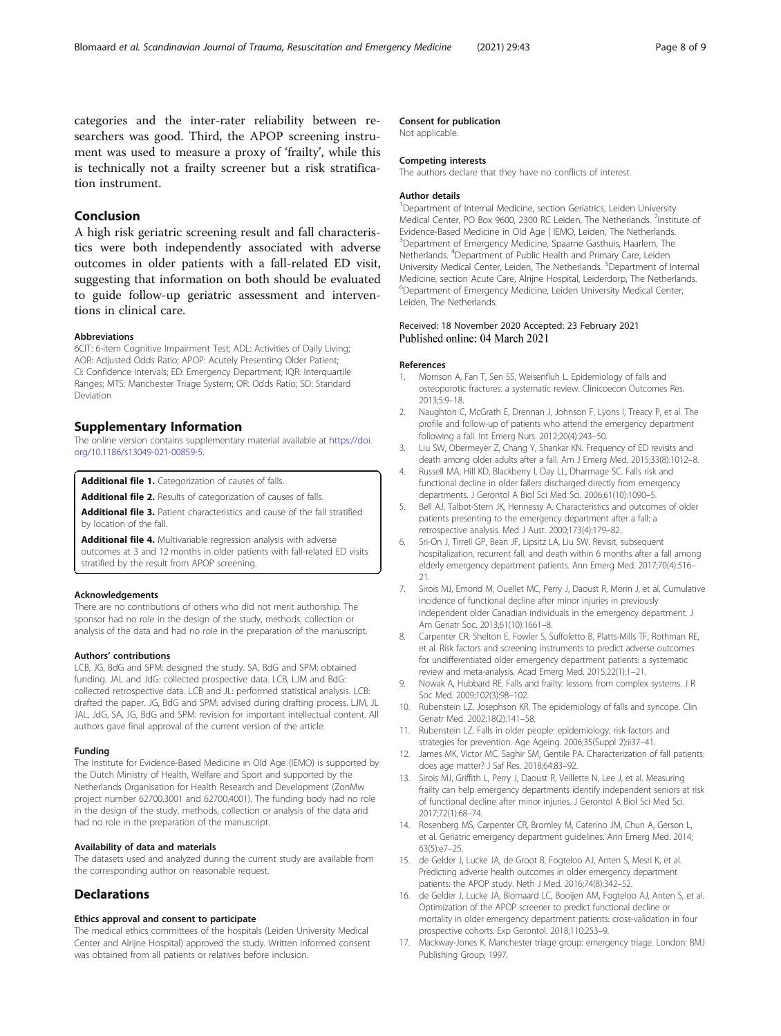<span id="page-7-0"></span>categories and the inter-rater reliability between researchers was good. Third, the APOP screening instrument was used to measure a proxy of 'frailty', while this is technically not a frailty screener but a risk stratification instrument.

# Conclusion

A high risk geriatric screening result and fall characteristics were both independently associated with adverse outcomes in older patients with a fall-related ED visit, suggesting that information on both should be evaluated to guide follow-up geriatric assessment and interventions in clinical care.

#### Abbreviations

6CIT: 6-item Cognitive Impairment Test; ADL: Activities of Daily Living; AOR: Adjusted Odds Ratio; APOP: Acutely Presenting Older Patient; CI: Confidence Intervals; ED: Emergency Department; IQR: Interquartile Ranges; MTS: Manchester Triage System; OR: Odds Ratio; SD: Standard Deviation

# Supplementary Information

The online version contains supplementary material available at [https://doi.](https://doi.org/10.1186/s13049-021-00859-5) [org/10.1186/s13049-021-00859-5.](https://doi.org/10.1186/s13049-021-00859-5)

Additional file 1. Categorization of causes of falls.

Additional file 2. Results of categorization of causes of falls.

Additional file 3. Patient characteristics and cause of the fall stratified by location of the fall.

Additional file 4. Multivariable regression analysis with adverse outcomes at 3 and 12 months in older patients with fall-related ED visits stratified by the result from APOP screening.

#### Acknowledgements

There are no contributions of others who did not merit authorship. The sponsor had no role in the design of the study, methods, collection or analysis of the data and had no role in the preparation of the manuscript.

# Authors' contributions

LCB, JG, BdG and SPM: designed the study. SA, BdG and SPM: obtained funding. JAL and JdG: collected prospective data. LCB, LJM and BdG: collected retrospective data. LCB and JL: performed statistical analysis. LCB: drafted the paper. JG, BdG and SPM: advised during drafting process. LJM, JL JAL, JdG, SA, JG, BdG and SPM: revision for important intellectual content. All authors gave final approval of the current version of the article.

#### Funding

The Institute for Evidence-Based Medicine in Old Age (IEMO) is supported by the Dutch Ministry of Health, Welfare and Sport and supported by the Netherlands Organisation for Health Research and Development (ZonMw project number 62700.3001 and 62700.4001). The funding body had no role in the design of the study, methods, collection or analysis of the data and had no role in the preparation of the manuscript.

#### Availability of data and materials

The datasets used and analyzed during the current study are available from the corresponding author on reasonable request.

# **Declarations**

#### Ethics approval and consent to participate

The medical ethics committees of the hospitals (Leiden University Medical Center and Alrijne Hospital) approved the study. Written informed consent was obtained from all patients or relatives before inclusion.

# Consent for publication

Not applicable.

#### Competing interests

The authors declare that they have no conflicts of interest.

#### Author details

<sup>1</sup>Department of Internal Medicine, section Geriatrics, Leiden University Medical Center, PO Box 9600, 2300 RC Leiden, The Netherlands. <sup>2</sup>Institute of Evidence-Based Medicine in Old Age | IEMO, Leiden, The Netherlands. 3 Department of Emergency Medicine, Spaarne Gasthuis, Haarlem, The Netherlands. <sup>4</sup> Department of Public Health and Primary Care, Leiden University Medical Center, Leiden, The Netherlands. <sup>5</sup>Department of Internal Medicine, section Acute Care, Alrijne Hospital, Leiderdorp, The Netherlands. 6 Department of Emergency Medicine, Leiden University Medical Center, Leiden, The Netherlands.

# Received: 18 November 2020 Accepted: 23 February 2021 Published online: 04 March 2021

#### References

- 1. Morrison A, Fan T, Sen SS, Weisenfluh L. Epidemiology of falls and osteoporotic fractures: a systematic review. Clinicoecon Outcomes Res. 2013;5:9–18.
- 2. Naughton C, McGrath E, Drennan J, Johnson F, Lyons I, Treacy P, et al. The profile and follow-up of patients who attend the emergency department following a fall. Int Emerg Nurs. 2012;20(4):243–50.
- 3. Liu SW, Obermeyer Z, Chang Y, Shankar KN. Frequency of ED revisits and death among older adults after a fall. Am J Emerg Med. 2015;33(8):1012–8.
- 4. Russell MA, Hill KD, Blackberry I, Day LL, Dharmage SC. Falls risk and functional decline in older fallers discharged directly from emergency departments. J Gerontol A Biol Sci Med Sci. 2006;61(10):1090–5.
- 5. Bell AJ, Talbot-Stern JK, Hennessy A. Characteristics and outcomes of older patients presenting to the emergency department after a fall: a retrospective analysis. Med J Aust. 2000;173(4):179–82.
- 6. Sri-On J, Tirrell GP, Bean JF, Lipsitz LA, Liu SW. Revisit, subsequent hospitalization, recurrent fall, and death within 6 months after a fall among elderly emergency department patients. Ann Emerg Med. 2017;70(4):516– 21.
- 7. Sirois MJ, Emond M, Ouellet MC, Perry J, Daoust R, Morin J, et al. Cumulative incidence of functional decline after minor injuries in previously independent older Canadian individuals in the emergency department. J Am Geriatr Soc. 2013;61(10):1661–8.
- 8. Carpenter CR, Shelton E, Fowler S, Suffoletto B, Platts-Mills TF, Rothman RE, et al. Risk factors and screening instruments to predict adverse outcomes for undifferentiated older emergency department patients: a systematic review and meta-analysis. Acad Emerg Med. 2015;22(1):1–21.
- 9. Nowak A, Hubbard RE. Falls and frailty: lessons from complex systems. J R Soc Med. 2009;102(3):98–102.
- 10. Rubenstein LZ, Josephson KR. The epidemiology of falls and syncope. Clin Geriatr Med. 2002;18(2):141–58.
- 11. Rubenstein LZ. Falls in older people: epidemiology, risk factors and strategies for prevention. Age Ageing. 2006;35(Suppl 2):ii37–41.
- 12. James MK, Victor MC, Saghir SM, Gentile PA. Characterization of fall patients: does age matter? J Saf Res. 2018;64:83–92.
- 13. Sirois MJ, Griffith L, Perry J, Daoust R, Veillette N, Lee J, et al. Measuring frailty can help emergency departments identify independent seniors at risk of functional decline after minor injuries. J Gerontol A Biol Sci Med Sci. 2017;72(1):68–74.
- 14. Rosenberg MS, Carpenter CR, Bromley M, Caterino JM, Chun A, Gerson L, et al. Geriatric emergency department guidelines. Ann Emerg Med. 2014; 63(5):e7–25.
- 15. de Gelder J, Lucke JA, de Groot B, Fogteloo AJ, Anten S, Mesri K, et al. Predicting adverse health outcomes in older emergency department patients: the APOP study. Neth J Med. 2016;74(8):342–52.
- 16. de Gelder J, Lucke JA, Blomaard LC, Booijen AM, Fogteloo AJ, Anten S, et al. Optimization of the APOP screener to predict functional decline or mortality in older emergency department patients: cross-validation in four prospective cohorts. Exp Gerontol. 2018;110:253–9.
- 17. Mackway-Jones K. Manchester triage group: emergency triage. London: BMJ Publishing Group; 1997.